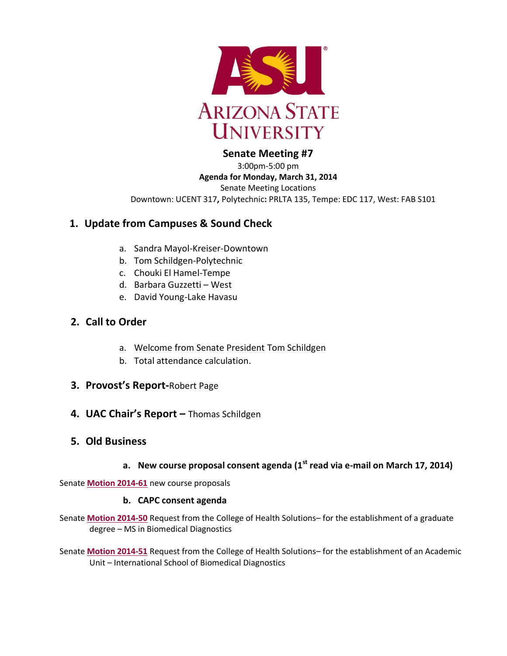

#### **Senate Meeting #7**

3:00pm-5:00 pm **Agenda for Monday, March 31, 2014** Senate Meeting Locations Downtown: UCENT 317**,** Polytechnic**:** PRLTA 135, Tempe: EDC 117, West: FAB S101

# **1. Update from Campuses & Sound Check**

- a. Sandra Mayol-Kreiser-Downtown
- b. Tom Schildgen-Polytechnic
- c. Chouki El Hamel-Tempe
- d. Barbara Guzzetti West
- e. David Young-Lake Havasu

# **2. Call to Order**

- a. Welcome from Senate President Tom Schildgen
- b. Total attendance calculation.
- **3. Provost's Report-**Robert Page
- **4. UAC Chair's Report –** Thomas Schildgen

#### **5. Old Business**

**a. New course proposal consent agenda (1st read via e-mail on March 17, 2014)**

Senate **[Motion 2014-61](http://usenate.asu.edu/node/4924)** new course proposals

#### **b. CAPC consent agenda**

- Senate **[Motion 2014-50](http://usenate.asu.edu/node/4905)** Request from the College of Health Solutions– for the establishment of a graduate degree – MS in Biomedical Diagnostics
- Senate **[Motion 2014-51](http://usenate.asu.edu/node/4906)** Request from the College of Health Solutions– for the establishment of an Academic Unit – International School of Biomedical Diagnostics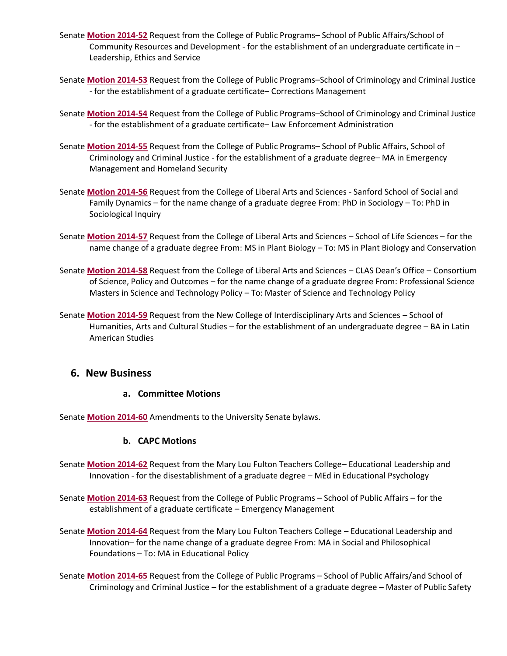- Senate **[Motion 2014-52](http://usenate.asu.edu/node/4907)** Request from the College of Public Programs– School of Public Affairs/School of Community Resources and Development - for the establishment of an undergraduate certificate in – Leadership, Ethics and Service
- Senate **[Motion 2014-53](http://usenate.asu.edu/node/4908)** Request from the College of Public Programs–School of Criminology and Criminal Justice - for the establishment of a graduate certificate– Corrections Management
- Senate **[Motion 2014-54](http://usenate.asu.edu/node/4909)** Request from the College of Public Programs–School of Criminology and Criminal Justice - for the establishment of a graduate certificate– Law Enforcement Administration
- Senate **[Motion 2014-55](http://usenate.asu.edu/node/4910)** Request from the College of Public Programs– School of Public Affairs, School of Criminology and Criminal Justice - for the establishment of a graduate degree– MA in Emergency Management and Homeland Security
- Senate **[Motion 2014-56](http://usenate.asu.edu/node/4912)** Request from the College of Liberal Arts and Sciences Sanford School of Social and Family Dynamics – for the name change of a graduate degree From: PhD in Sociology – To: PhD in Sociological Inquiry
- Senate **[Motion 2014-57](http://usenate.asu.edu/node/4913)** Request from the College of Liberal Arts and Sciences School of Life Sciences for the name change of a graduate degree From: MS in Plant Biology – To: MS in Plant Biology and Conservation
- Senate **[Motion 2014-58](http://usenate.asu.edu/node/4914)** Request from the College of Liberal Arts and Sciences CLAS Dean's Office Consortium of Science, Policy and Outcomes – for the name change of a graduate degree From: Professional Science Masters in Science and Technology Policy – To: Master of Science and Technology Policy
- Senate **[Motion 2014-59](http://usenate.asu.edu/node/4915)** Request from the New College of Interdisciplinary Arts and Sciences School of Humanities, Arts and Cultural Studies – for the establishment of an undergraduate degree – BA in Latin American Studies

#### **6. New Business**

#### **a. Committee Motions**

Senate **[Motion 2014-60](http://usenate.asu.edu/node/4926)** Amendments to the University Senate bylaws.

#### **b. CAPC Motions**

- Senate **Motion [2014-62](http://usenate.asu.edu/node/4927)** Request from the Mary Lou Fulton Teachers College– Educational Leadership and Innovation - for the disestablishment of a graduate degree – MEd in Educational Psychology
- Senate **[Motion 2014-63](http://usenate.asu.edu/node/4928)** Request from the College of Public Programs School of Public Affairs for the establishment of a graduate certificate – Emergency Management
- Senate **[Motion 2014-64](http://usenate.asu.edu/node/4929)** Request from the Mary Lou Fulton Teachers College Educational Leadership and Innovation– for the name change of a graduate degree From: MA in Social and Philosophical Foundations – To: MA in Educational Policy
- Senate **[Motion 2014-65](http://usenate.asu.edu/node/4939)** Request from the College of Public Programs School of Public Affairs/and School of Criminology and Criminal Justice – for the establishment of a graduate degree – Master of Public Safety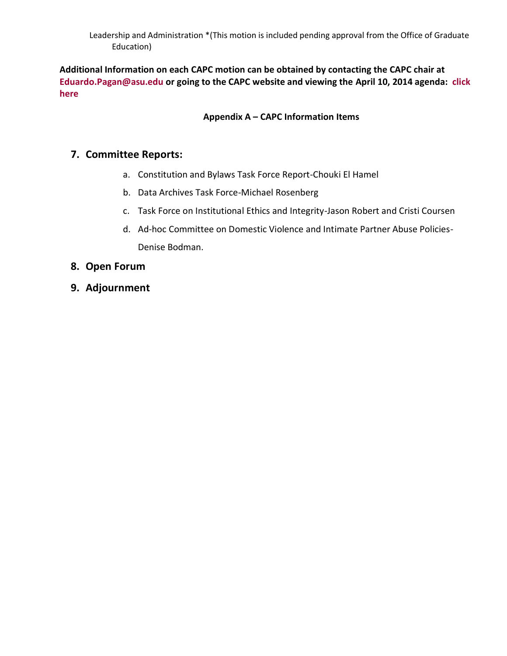Leadership and Administration \*(This motion is included pending approval from the Office of Graduate Education)

**Additional Information on each CAPC motion can be obtained by contacting the CAPC chair at [Eduardo.Pagan@asu.edu](mailto:Eduardo.Pagan@asu.edu) or going to the CAPC website and viewing the April 10, 2014 agenda: [click](https://provost.asu.edu/capc/agenda)  [here](https://provost.asu.edu/capc/agenda)**

#### **Appendix A – CAPC Information Items**

# **7. Committee Reports:**

- a. Constitution and Bylaws Task Force Report-Chouki El Hamel
- b. Data Archives Task Force-Michael Rosenberg
- c. Task Force on Institutional Ethics and Integrity-Jason Robert and Cristi Coursen
- d. Ad-hoc Committee on Domestic Violence and Intimate Partner Abuse Policies-Denise Bodman.
- **8. Open Forum**
- **9. Adjournment**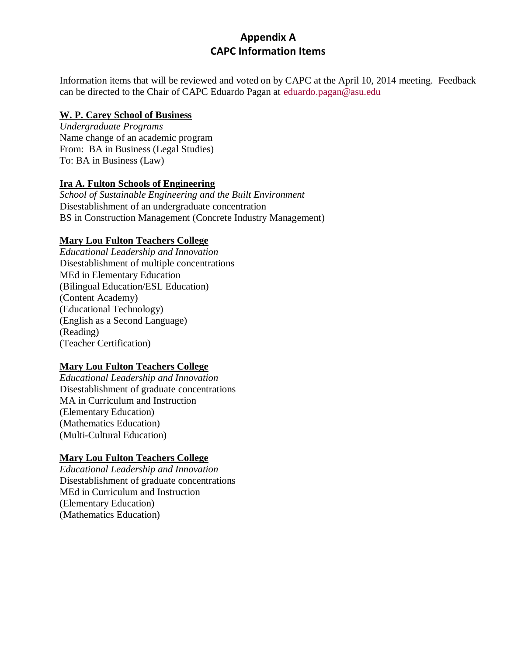# **Appendix A CAPC Information Items**

Information items that will be reviewed and voted on by CAPC at the April 10, 2014 meeting. Feedback can be directed to the Chair of CAPC Eduardo Pagan at [eduardo.pagan@asu.edu](mailto:eduardo.pagan@asu.edu)

#### **W. P. Carey School of Business**

*Undergraduate Programs* Name change of an academic program From: BA in Business (Legal Studies) To: BA in Business (Law)

#### **Ira A. Fulton Schools of Engineering**

*School of Sustainable Engineering and the Built Environment* Disestablishment of an undergraduate concentration BS in Construction Management (Concrete Industry Management)

#### **Mary Lou Fulton Teachers College**

*Educational Leadership and Innovation* Disestablishment of multiple concentrations MEd in Elementary Education (Bilingual Education/ESL Education) (Content Academy) (Educational Technology) (English as a Second Language) (Reading) (Teacher Certification)

#### **Mary Lou Fulton Teachers College**

*Educational Leadership and Innovation* Disestablishment of graduate concentrations MA in Curriculum and Instruction (Elementary Education) (Mathematics Education) (Multi-Cultural Education)

#### **Mary Lou Fulton Teachers College**

*Educational Leadership and Innovation* Disestablishment of graduate concentrations MEd in Curriculum and Instruction (Elementary Education) (Mathematics Education)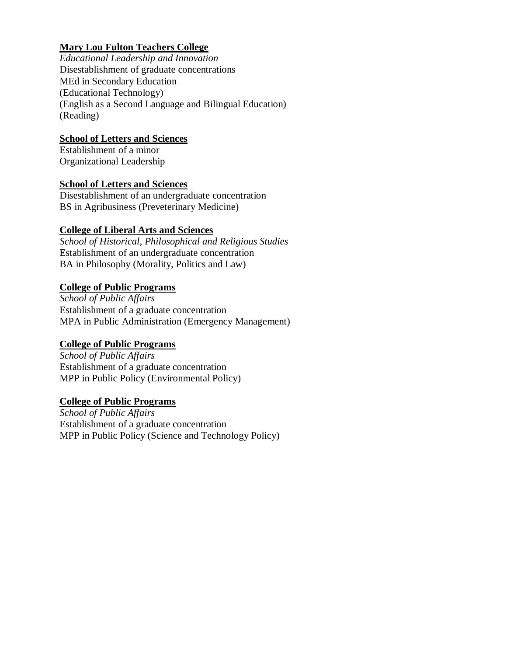# **Mary Lou Fulton Teachers College**

*Educational Leadership and Innovation* Disestablishment of graduate concentrations [MEd in Secondary Education](https://provost.asu.edu/sites/default/files/shared/capc/AY20132014/April%203/Disestablishment%20grad%20concentrations_MLFTC_MEd%20Secondary%20Education-Multiple%20Concentrations.pdf) [\(Educational Technology\)](https://provost.asu.edu/sites/default/files/shared/capc/AY20132014/April%203/Disestablishment%20grad%20concentrations_MLFTC_MEd%20Secondary%20Education-Multiple%20Concentrations.pdf) (English [as a Second Language and Bilingual Education\)](https://provost.asu.edu/sites/default/files/shared/capc/AY20132014/April%203/Disestablishment%20grad%20concentrations_MLFTC_MEd%20Secondary%20Education-Multiple%20Concentrations.pdf) [\(Reading\)](https://provost.asu.edu/sites/default/files/shared/capc/AY20132014/April%203/Disestablishment%20grad%20concentrations_MLFTC_MEd%20Secondary%20Education-Multiple%20Concentrations.pdf)

## **School of Letters and Sciences**

Establishment of a minor Organizational Leadership

#### **School of Letters and Sciences**

Disestablishment of an undergraduate concentration BS in Agribusiness (Preveterinary Medicine)

## **College of Liberal Arts and Sciences**

*School of Historical, Philosophical and Religious Studies* Establishment of an undergraduate concentration BA in Philosophy (Morality, Politics and Law)

## **College of Public Programs**

*School of Public Affairs* Establishment of a graduate concentration MPA in Public Administration (Emergency Management)

# **College of Public Programs**

*School of Public Affairs* Establishment of a graduate concentration MPP in Public Policy (Environmental Policy)

#### **College of Public Programs**

*School of Public Affairs* Establishment of a graduate concentration MPP in Public Policy (Science and Technology Policy)